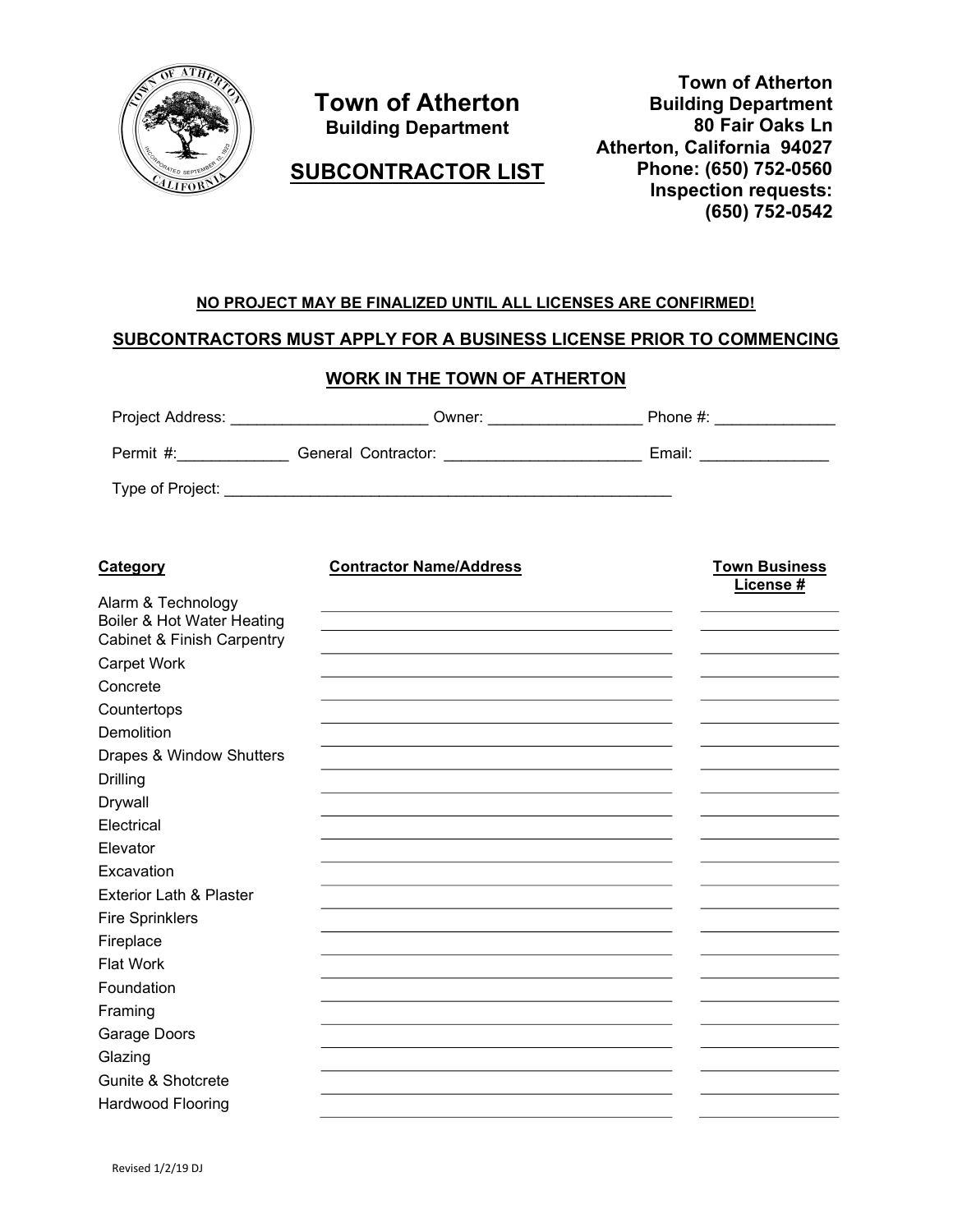

# Town of Atherton Building Department

SUBCONTRACTOR LIST

Town of Atherton Building Department 80 Fair Oaks Ln Atherton, California 94027 Phone: (650) 752-0560 Inspection requests: (650) 752-0542

# NO PROJECT MAY BE FINALIZED UNTIL ALL LICENSES ARE CONFIRMED!

## SUBCONTRACTORS MUST APPLY FOR A BUSINESS LICENSE PRIOR TO COMMENCING

#### WORK IN THE TOWN OF ATHERTON

| Project Address: | Owner:              | Phone $#$ : |
|------------------|---------------------|-------------|
| Permit #:        | General Contractor: | Email:      |
| Type of Project: |                     |             |

| <b>Category</b>                       | <b>Contractor Name/Address</b> | <b>Town Business</b><br>License # |
|---------------------------------------|--------------------------------|-----------------------------------|
| Alarm & Technology                    |                                |                                   |
| Boiler & Hot Water Heating            |                                |                                   |
| <b>Cabinet &amp; Finish Carpentry</b> |                                |                                   |
| Carpet Work                           |                                |                                   |
| Concrete                              |                                |                                   |
| Countertops                           |                                |                                   |
| Demolition                            |                                |                                   |
| Drapes & Window Shutters              |                                |                                   |
| <b>Drilling</b>                       |                                |                                   |
| Drywall                               |                                |                                   |
| Electrical                            |                                |                                   |
| Elevator                              |                                |                                   |
| Excavation                            |                                |                                   |
| <b>Exterior Lath &amp; Plaster</b>    |                                |                                   |
| <b>Fire Sprinklers</b>                |                                |                                   |
| Fireplace                             |                                |                                   |
| <b>Flat Work</b>                      |                                |                                   |
| Foundation                            |                                |                                   |
| Framing                               |                                |                                   |
| Garage Doors                          |                                |                                   |
| Glazing                               |                                |                                   |
| Gunite & Shotcrete                    |                                |                                   |
| Hardwood Flooring                     |                                |                                   |